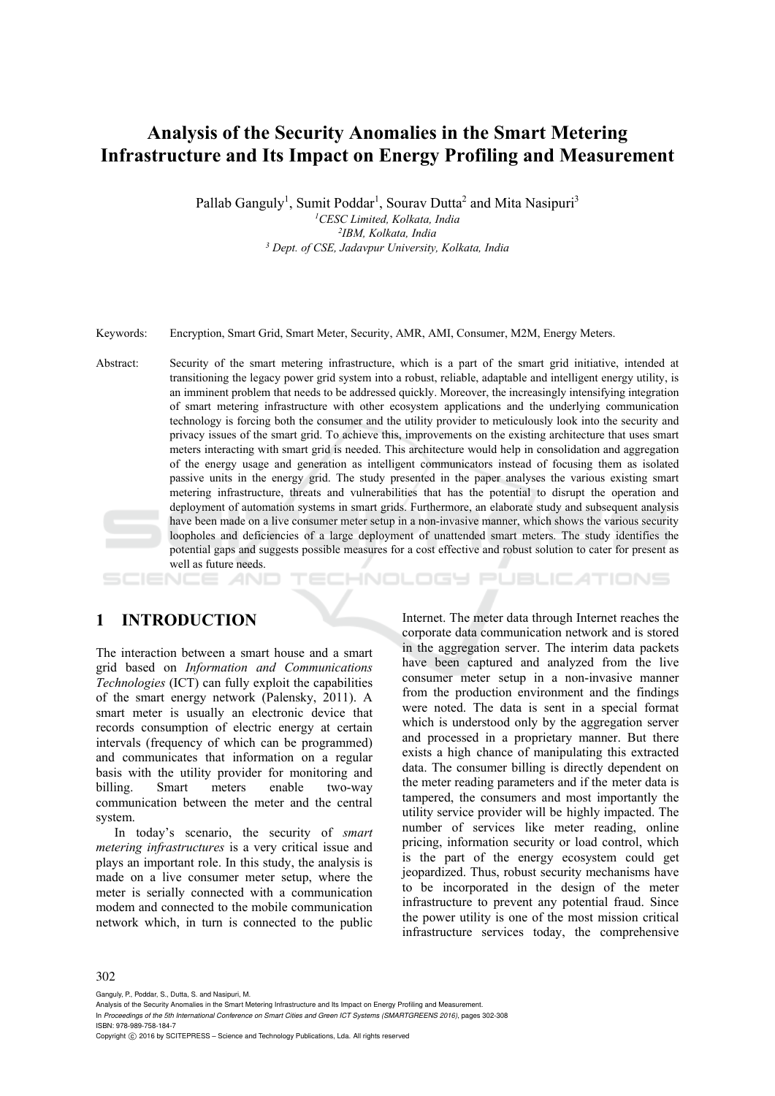# **Analysis of the Security Anomalies in the Smart Metering Infrastructure and Its Impact on Energy Profiling and Measurement**

Pallab Ganguly<sup>1</sup>, Sumit Poddar<sup>1</sup>, Sourav Dutta<sup>2</sup> and Mita Nasipuri<sup>3</sup> *1CESC Limited, Kolkata, India 2IBM, Kolkata, India 3 Dept. of CSE, Jadavpur University, Kolkata, India* 

Keywords: Encryption, Smart Grid, Smart Meter, Security, AMR, AMI, Consumer, M2M, Energy Meters.

Abstract: Security of the smart metering infrastructure, which is a part of the smart grid initiative, intended at transitioning the legacy power grid system into a robust, reliable, adaptable and intelligent energy utility, is an imminent problem that needs to be addressed quickly. Moreover, the increasingly intensifying integration of smart metering infrastructure with other ecosystem applications and the underlying communication technology is forcing both the consumer and the utility provider to meticulously look into the security and privacy issues of the smart grid. To achieve this, improvements on the existing architecture that uses smart meters interacting with smart grid is needed. This architecture would help in consolidation and aggregation of the energy usage and generation as intelligent communicators instead of focusing them as isolated passive units in the energy grid. The study presented in the paper analyses the various existing smart metering infrastructure, threats and vulnerabilities that has the potential to disrupt the operation and deployment of automation systems in smart grids. Furthermore, an elaborate study and subsequent analysis have been made on a live consumer meter setup in a non-invasive manner, which shows the various security loopholes and deficiencies of a large deployment of unattended smart meters. The study identifies the potential gaps and suggests possible measures for a cost effective and robust solution to cater for present as well as future needs. HNOLOGY PUBLICATIONS

## **1 INTRODUCTION**

The interaction between a smart house and a smart grid based on *Information and Communications Technologies* (ICT) can fully exploit the capabilities of the smart energy network (Palensky, 2011). A smart meter is usually an electronic device that records consumption of electric energy at certain intervals (frequency of which can be programmed) and communicates that information on a regular basis with the utility provider for monitoring and billing. Smart meters enable two-way communication between the meter and the central system.

In today's scenario, the security of *smart metering infrastructures* is a very critical issue and plays an important role. In this study, the analysis is made on a live consumer meter setup, where the meter is serially connected with a communication modem and connected to the mobile communication network which, in turn is connected to the public

Internet. The meter data through Internet reaches the corporate data communication network and is stored in the aggregation server. The interim data packets have been captured and analyzed from the live consumer meter setup in a non-invasive manner from the production environment and the findings were noted. The data is sent in a special format which is understood only by the aggregation server and processed in a proprietary manner. But there exists a high chance of manipulating this extracted data. The consumer billing is directly dependent on the meter reading parameters and if the meter data is tampered, the consumers and most importantly the utility service provider will be highly impacted. The number of services like meter reading, online pricing, information security or load control, which is the part of the energy ecosystem could get jeopardized. Thus, robust security mechanisms have to be incorporated in the design of the meter infrastructure to prevent any potential fraud. Since the power utility is one of the most mission critical infrastructure services today, the comprehensive

#### 302

Ganguly, P., Poddar, S., Dutta, S. and Nasipuri, M.

Analysis of the Security Anomalies in the Smart Metering Infrastructure and Its Impact on Energy Profiling and Measurement.

In *Proceedings of the 5th International Conference on Smart Cities and Green ICT Systems (SMARTGREENS 2016)*, pages 302-308

ISBN: 978-989-758-184-7

Copyright (C) 2016 by SCITEPRESS - Science and Technology Publications, Lda. All rights reserved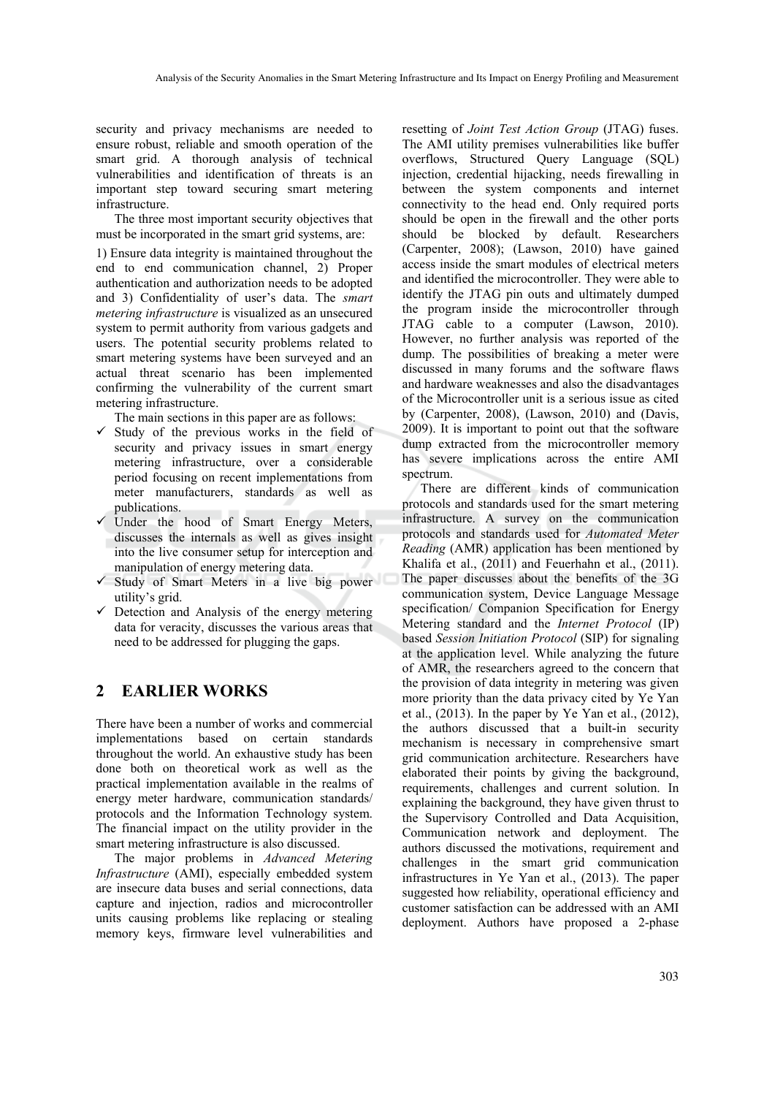security and privacy mechanisms are needed to ensure robust, reliable and smooth operation of the smart grid. A thorough analysis of technical vulnerabilities and identification of threats is an important step toward securing smart metering infrastructure.

The three most important security objectives that must be incorporated in the smart grid systems, are:

1) Ensure data integrity is maintained throughout the end to end communication channel, 2) Proper authentication and authorization needs to be adopted and 3) Confidentiality of user's data. The *smart metering infrastructure* is visualized as an unsecured system to permit authority from various gadgets and users. The potential security problems related to smart metering systems have been surveyed and an actual threat scenario has been implemented confirming the vulnerability of the current smart metering infrastructure.

The main sections in this paper are as follows:

- $\checkmark$  Study of the previous works in the field of security and privacy issues in smart energy metering infrastructure, over a considerable period focusing on recent implementations from meter manufacturers, standards as well as publications.
- Under the hood of Smart Energy Meters, discusses the internals as well as gives insight into the live consumer setup for interception and manipulation of energy metering data.
- $\checkmark$  Study of Smart Meters in a live big power utility's grid.
- $\checkmark$  Detection and Analysis of the energy metering data for veracity, discusses the various areas that need to be addressed for plugging the gaps.

#### **2 EARLIER WORKS**

There have been a number of works and commercial implementations based on certain standards throughout the world. An exhaustive study has been done both on theoretical work as well as the practical implementation available in the realms of energy meter hardware, communication standards/ protocols and the Information Technology system. The financial impact on the utility provider in the smart metering infrastructure is also discussed.

The major problems in *Advanced Metering Infrastructure* (AMI), especially embedded system are insecure data buses and serial connections, data capture and injection, radios and microcontroller units causing problems like replacing or stealing memory keys, firmware level vulnerabilities and

resetting of *Joint Test Action Group* (JTAG) fuses. The AMI utility premises vulnerabilities like buffer overflows, Structured Query Language (SQL) injection, credential hijacking, needs firewalling in between the system components and internet connectivity to the head end. Only required ports should be open in the firewall and the other ports should be blocked by default. Researchers (Carpenter, 2008); (Lawson, 2010) have gained access inside the smart modules of electrical meters and identified the microcontroller. They were able to identify the JTAG pin outs and ultimately dumped the program inside the microcontroller through JTAG cable to a computer (Lawson, 2010). However, no further analysis was reported of the dump. The possibilities of breaking a meter were discussed in many forums and the software flaws and hardware weaknesses and also the disadvantages of the Microcontroller unit is a serious issue as cited by (Carpenter, 2008), (Lawson, 2010) and (Davis, 2009). It is important to point out that the software dump extracted from the microcontroller memory has severe implications across the entire AMI spectrum.

There are different kinds of communication protocols and standards used for the smart metering infrastructure. A survey on the communication protocols and standards used for *Automated Meter Reading* (AMR) application has been mentioned by Khalifa et al., (2011) and Feuerhahn et al., (2011). The paper discusses about the benefits of the 3G communication system, Device Language Message specification/ Companion Specification for Energy Metering standard and the *Internet Protocol* (IP) based *Session Initiation Protocol* (SIP) for signaling at the application level. While analyzing the future of AMR, the researchers agreed to the concern that the provision of data integrity in metering was given more priority than the data privacy cited by Ye Yan et al., (2013). In the paper by Ye Yan et al., (2012), the authors discussed that a built-in security mechanism is necessary in comprehensive smart grid communication architecture. Researchers have elaborated their points by giving the background, requirements, challenges and current solution. In explaining the background, they have given thrust to the Supervisory Controlled and Data Acquisition, Communication network and deployment. The authors discussed the motivations, requirement and challenges in the smart grid communication infrastructures in Ye Yan et al., (2013). The paper suggested how reliability, operational efficiency and customer satisfaction can be addressed with an AMI deployment. Authors have proposed a 2-phase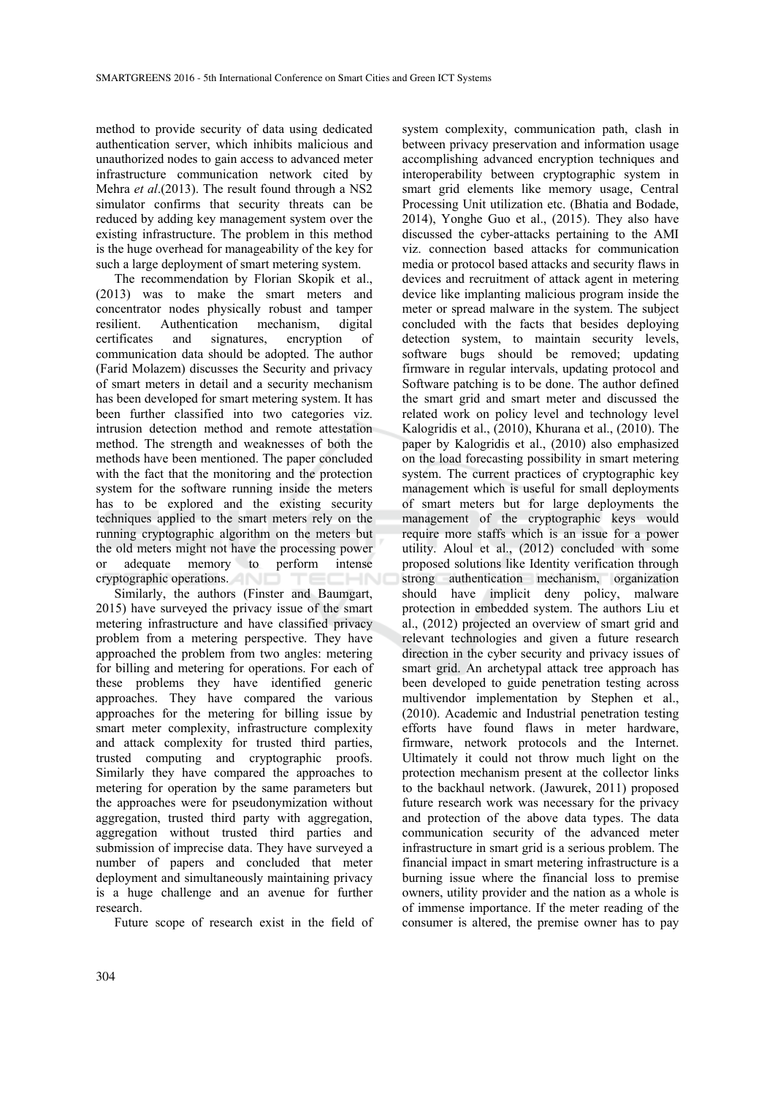method to provide security of data using dedicated authentication server, which inhibits malicious and unauthorized nodes to gain access to advanced meter infrastructure communication network cited by Mehra *et al*.(2013). The result found through a NS2 simulator confirms that security threats can be reduced by adding key management system over the existing infrastructure. The problem in this method is the huge overhead for manageability of the key for such a large deployment of smart metering system.

The recommendation by Florian Skopik et al., (2013) was to make the smart meters and concentrator nodes physically robust and tamper resilient. Authentication mechanism, digital certificates and signatures, encryption of communication data should be adopted. The author (Farid Molazem) discusses the Security and privacy of smart meters in detail and a security mechanism has been developed for smart metering system. It has been further classified into two categories viz. intrusion detection method and remote attestation method. The strength and weaknesses of both the methods have been mentioned. The paper concluded with the fact that the monitoring and the protection system for the software running inside the meters has to be explored and the existing security techniques applied to the smart meters rely on the running cryptographic algorithm on the meters but the old meters might not have the processing power or adequate memory to perform intense cryptographic operations. IHNO

Similarly, the authors (Finster and Baumgart, 2015) have surveyed the privacy issue of the smart metering infrastructure and have classified privacy problem from a metering perspective. They have approached the problem from two angles: metering for billing and metering for operations. For each of these problems they have identified generic approaches. They have compared the various approaches for the metering for billing issue by smart meter complexity, infrastructure complexity and attack complexity for trusted third parties, trusted computing and cryptographic proofs. Similarly they have compared the approaches to metering for operation by the same parameters but the approaches were for pseudonymization without aggregation, trusted third party with aggregation, aggregation without trusted third parties and submission of imprecise data. They have surveyed a number of papers and concluded that meter deployment and simultaneously maintaining privacy is a huge challenge and an avenue for further research.

Future scope of research exist in the field of

system complexity, communication path, clash in between privacy preservation and information usage accomplishing advanced encryption techniques and interoperability between cryptographic system in smart grid elements like memory usage, Central Processing Unit utilization etc. (Bhatia and Bodade, 2014), Yonghe Guo et al., (2015). They also have discussed the cyber-attacks pertaining to the AMI viz. connection based attacks for communication media or protocol based attacks and security flaws in devices and recruitment of attack agent in metering device like implanting malicious program inside the meter or spread malware in the system. The subject concluded with the facts that besides deploying detection system, to maintain security levels, software bugs should be removed; updating firmware in regular intervals, updating protocol and Software patching is to be done. The author defined the smart grid and smart meter and discussed the related work on policy level and technology level Kalogridis et al., (2010), Khurana et al., (2010). The paper by Kalogridis et al., (2010) also emphasized on the load forecasting possibility in smart metering system. The current practices of cryptographic key management which is useful for small deployments of smart meters but for large deployments the management of the cryptographic keys would require more staffs which is an issue for a power utility. Aloul et al., (2012) concluded with some proposed solutions like Identity verification through strong authentication mechanism, organization should have implicit deny policy, malware protection in embedded system. The authors Liu et al., (2012) projected an overview of smart grid and relevant technologies and given a future research direction in the cyber security and privacy issues of smart grid. An archetypal attack tree approach has been developed to guide penetration testing across multivendor implementation by Stephen et al., (2010). Academic and Industrial penetration testing efforts have found flaws in meter hardware, firmware, network protocols and the Internet. Ultimately it could not throw much light on the protection mechanism present at the collector links to the backhaul network. (Jawurek, 2011) proposed future research work was necessary for the privacy and protection of the above data types. The data communication security of the advanced meter infrastructure in smart grid is a serious problem. The financial impact in smart metering infrastructure is a burning issue where the financial loss to premise owners, utility provider and the nation as a whole is of immense importance. If the meter reading of the consumer is altered, the premise owner has to pay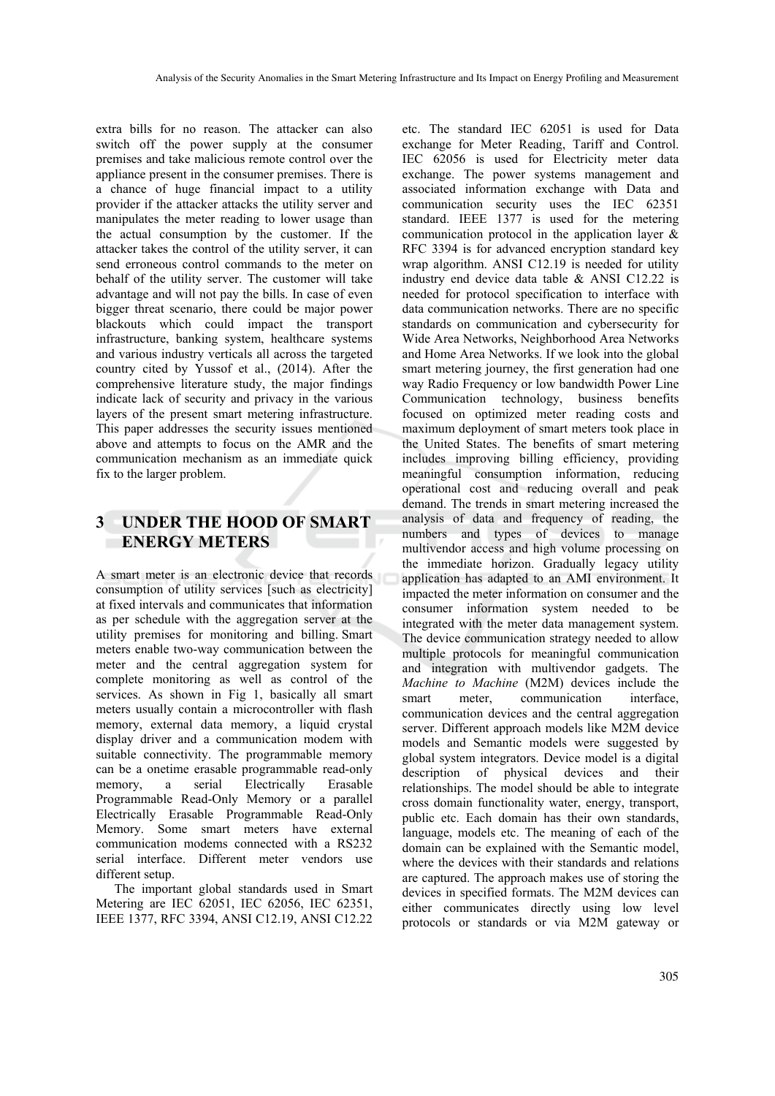extra bills for no reason. The attacker can also switch off the power supply at the consumer premises and take malicious remote control over the appliance present in the consumer premises. There is a chance of huge financial impact to a utility provider if the attacker attacks the utility server and manipulates the meter reading to lower usage than the actual consumption by the customer. If the attacker takes the control of the utility server, it can send erroneous control commands to the meter on behalf of the utility server. The customer will take advantage and will not pay the bills. In case of even bigger threat scenario, there could be major power blackouts which could impact the transport infrastructure, banking system, healthcare systems and various industry verticals all across the targeted country cited by Yussof et al., (2014). After the comprehensive literature study, the major findings indicate lack of security and privacy in the various layers of the present smart metering infrastructure. This paper addresses the security issues mentioned above and attempts to focus on the AMR and the communication mechanism as an immediate quick fix to the larger problem.

## **3 UNDER THE HOOD OF SMART ENERGY METERS**

A smart meter is an electronic device that records consumption of utility services [such as electricity] at fixed intervals and communicates that information as per schedule with the aggregation server at the utility premises for monitoring and billing. Smart meters enable two-way communication between the meter and the central aggregation system for complete monitoring as well as control of the services. As shown in Fig 1, basically all smart meters usually contain a microcontroller with flash memory, external data memory, a liquid crystal display driver and a communication modem with suitable connectivity. The programmable memory can be a onetime erasable programmable read-only memory, a serial Electrically Erasable Programmable Read-Only Memory or a parallel Electrically Erasable Programmable Read-Only Memory. Some smart meters have external communication modems connected with a RS232 serial interface. Different meter vendors use different setup.

The important global standards used in Smart Metering are IEC 62051, IEC 62056, IEC 62351, IEEE 1377, RFC 3394, ANSI C12.19, ANSI C12.22

etc. The standard IEC 62051 is used for Data exchange for Meter Reading, Tariff and Control. IEC 62056 is used for Electricity meter data exchange. The power systems management and associated information exchange with Data and communication security uses the IEC 62351 standard. IEEE 1377 is used for the metering communication protocol in the application layer  $\&$ RFC 3394 is for advanced encryption standard key wrap algorithm. ANSI C12.19 is needed for utility industry end device data table & ANSI C12.22 is needed for protocol specification to interface with data communication networks. There are no specific standards on communication and cybersecurity for Wide Area Networks, Neighborhood Area Networks and Home Area Networks. If we look into the global smart metering journey, the first generation had one way Radio Frequency or low bandwidth Power Line Communication technology, business benefits focused on optimized meter reading costs and maximum deployment of smart meters took place in the United States. The benefits of smart metering includes improving billing efficiency, providing meaningful consumption information, reducing operational cost and reducing overall and peak demand. The trends in smart metering increased the analysis of data and frequency of reading, the numbers and types of devices to manage multivendor access and high volume processing on the immediate horizon. Gradually legacy utility application has adapted to an AMI environment. It impacted the meter information on consumer and the consumer information system needed to be integrated with the meter data management system. The device communication strategy needed to allow multiple protocols for meaningful communication and integration with multivendor gadgets. The *Machine to Machine* (M2M) devices include the smart meter, communication interface, communication devices and the central aggregation server. Different approach models like M2M device models and Semantic models were suggested by global system integrators. Device model is a digital description of physical devices and their relationships. The model should be able to integrate cross domain functionality water, energy, transport, public etc. Each domain has their own standards, language, models etc. The meaning of each of the domain can be explained with the Semantic model, where the devices with their standards and relations are captured. The approach makes use of storing the devices in specified formats. The M2M devices can either communicates directly using low level protocols or standards or via M2M gateway or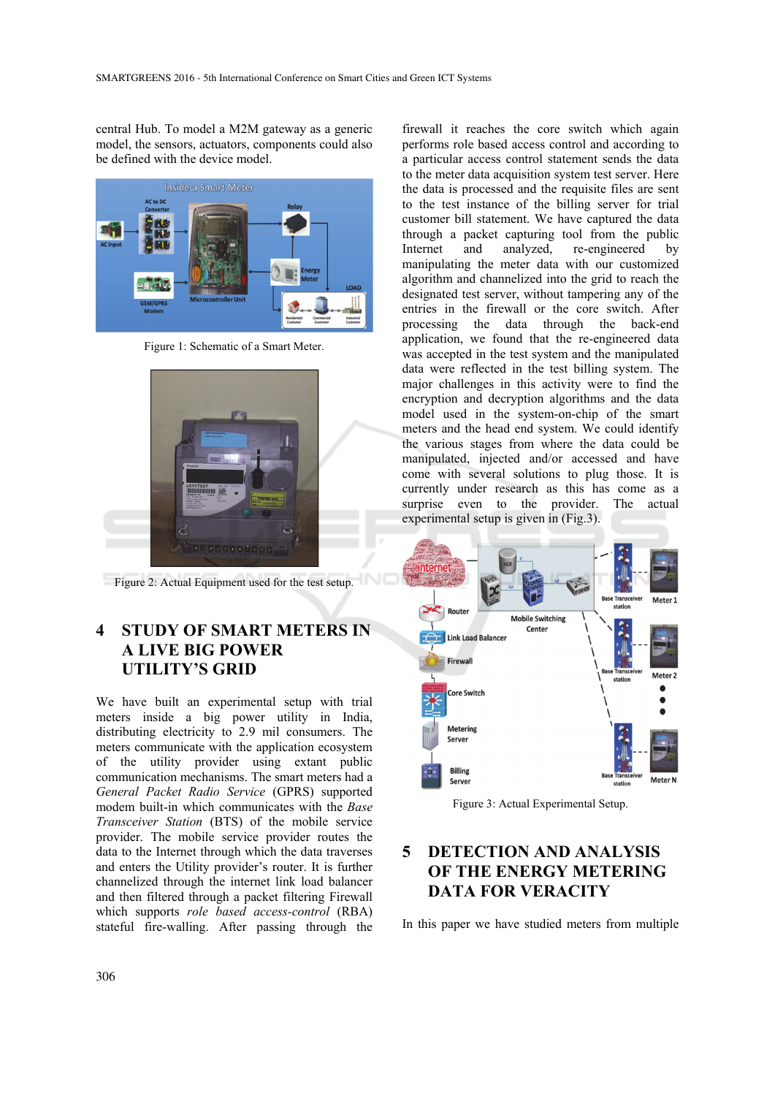central Hub. To model a M2M gateway as a generic model, the sensors, actuators, components could also be defined with the device model.



Figure 1: Schematic of a Smart Meter.



Figure 2: Actual Equipment used for the test setup.

## **4 STUDY OF SMART METERS IN A LIVE BIG POWER UTILITY'S GRID**

We have built an experimental setup with trial meters inside a big power utility in India, distributing electricity to 2.9 mil consumers. The meters communicate with the application ecosystem of the utility provider using extant public communication mechanisms. The smart meters had a *General Packet Radio Service* (GPRS) supported modem built-in which communicates with the *Base Transceiver Station* (BTS) of the mobile service provider. The mobile service provider routes the data to the Internet through which the data traverses and enters the Utility provider's router. It is further channelized through the internet link load balancer and then filtered through a packet filtering Firewall which supports *role based access-control* (RBA) stateful fire-walling. After passing through the

firewall it reaches the core switch which again performs role based access control and according to a particular access control statement sends the data to the meter data acquisition system test server. Here the data is processed and the requisite files are sent to the test instance of the billing server for trial customer bill statement. We have captured the data through a packet capturing tool from the public<br>Internet and analyzed, re-engineered by Internet and analyzed, re-engineered by manipulating the meter data with our customized algorithm and channelized into the grid to reach the designated test server, without tampering any of the entries in the firewall or the core switch. After processing the data through the back-end application, we found that the re-engineered data was accepted in the test system and the manipulated data were reflected in the test billing system. The major challenges in this activity were to find the encryption and decryption algorithms and the data model used in the system-on-chip of the smart meters and the head end system. We could identify the various stages from where the data could be manipulated, injected and/or accessed and have come with several solutions to plug those. It is currently under research as this has come as a surprise even to the provider. The actual experimental setup is given in (Fig.3).



Figure 3: Actual Experimental Setup.

## **5 DETECTION AND ANALYSIS OF THE ENERGY METERING DATA FOR VERACITY**

In this paper we have studied meters from multiple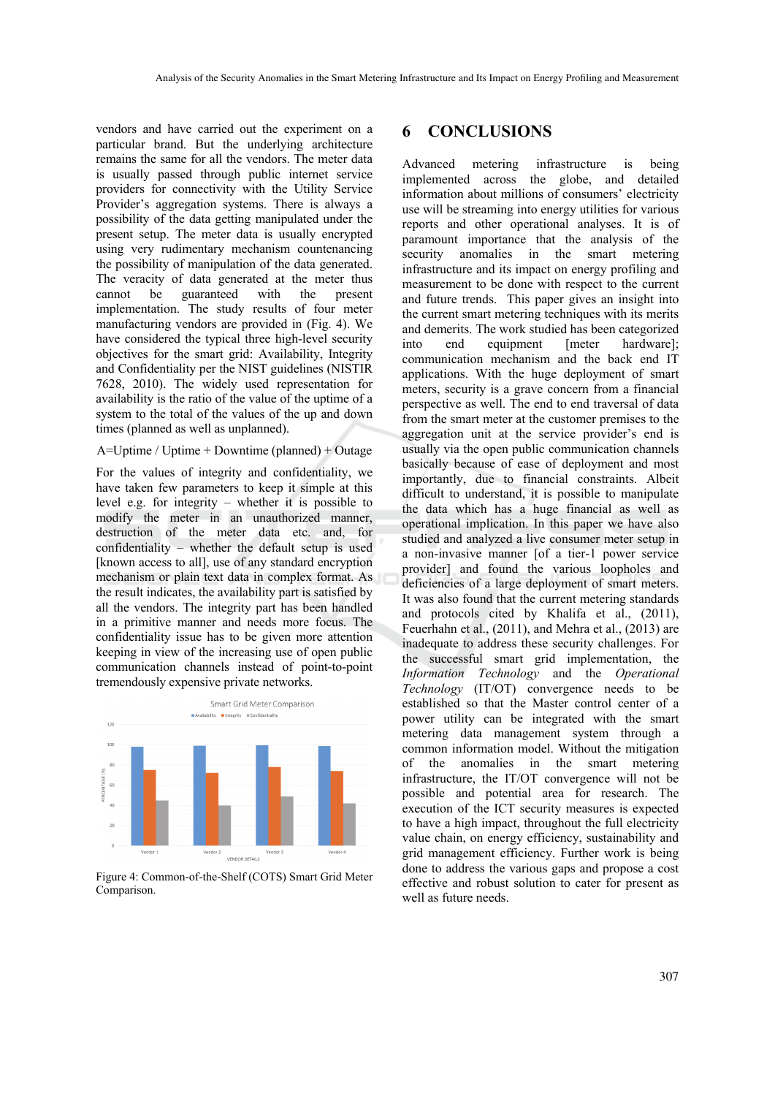vendors and have carried out the experiment on a particular brand. But the underlying architecture remains the same for all the vendors. The meter data is usually passed through public internet service providers for connectivity with the Utility Service Provider's aggregation systems. There is always a possibility of the data getting manipulated under the present setup. The meter data is usually encrypted using very rudimentary mechanism countenancing the possibility of manipulation of the data generated. The veracity of data generated at the meter thus cannot be guaranteed with the present implementation. The study results of four meter manufacturing vendors are provided in (Fig. 4). We have considered the typical three high-level security objectives for the smart grid: Availability, Integrity and Confidentiality per the NIST guidelines (NISTIR 7628, 2010). The widely used representation for availability is the ratio of the value of the uptime of a system to the total of the values of the up and down times (planned as well as unplanned).

#### A=Uptime / Uptime + Downtime (planned) + Outage

For the values of integrity and confidentiality, we have taken few parameters to keep it simple at this level e.g. for integrity – whether it is possible to modify the meter in an unauthorized manner, destruction of the meter data etc. and, for confidentiality – whether the default setup is used [known access to all], use of any standard encryption mechanism or plain text data in complex format. As the result indicates, the availability part is satisfied by all the vendors. The integrity part has been handled in a primitive manner and needs more focus. The confidentiality issue has to be given more attention keeping in view of the increasing use of open public communication channels instead of point-to-point tremendously expensive private networks.



Figure 4: Common-of-the-Shelf (COTS) Smart Grid Meter Comparison.

#### **6 CONCLUSIONS**

Advanced metering infrastructure is being implemented across the globe, and detailed information about millions of consumers' electricity use will be streaming into energy utilities for various reports and other operational analyses. It is of paramount importance that the analysis of the security anomalies in the smart metering infrastructure and its impact on energy profiling and measurement to be done with respect to the current and future trends. This paper gives an insight into the current smart metering techniques with its merits and demerits. The work studied has been categorized into end equipment [meter hardware]; communication mechanism and the back end IT applications. With the huge deployment of smart meters, security is a grave concern from a financial perspective as well. The end to end traversal of data from the smart meter at the customer premises to the aggregation unit at the service provider's end is usually via the open public communication channels basically because of ease of deployment and most importantly, due to financial constraints. Albeit difficult to understand, it is possible to manipulate the data which has a huge financial as well as operational implication. In this paper we have also studied and analyzed a live consumer meter setup in a non-invasive manner [of a tier-1 power service provider] and found the various loopholes and deficiencies of a large deployment of smart meters. It was also found that the current metering standards and protocols cited by Khalifa et al., (2011), Feuerhahn et al., (2011), and Mehra et al., (2013) are inadequate to address these security challenges. For the successful smart grid implementation, the *Information Technology* and the *Operational Technology* (IT/OT) convergence needs to be established so that the Master control center of a power utility can be integrated with the smart metering data management system through a common information model. Without the mitigation of the anomalies in the smart metering infrastructure, the IT/OT convergence will not be possible and potential area for research. The execution of the ICT security measures is expected to have a high impact, throughout the full electricity value chain, on energy efficiency, sustainability and grid management efficiency. Further work is being done to address the various gaps and propose a cost effective and robust solution to cater for present as well as future needs.